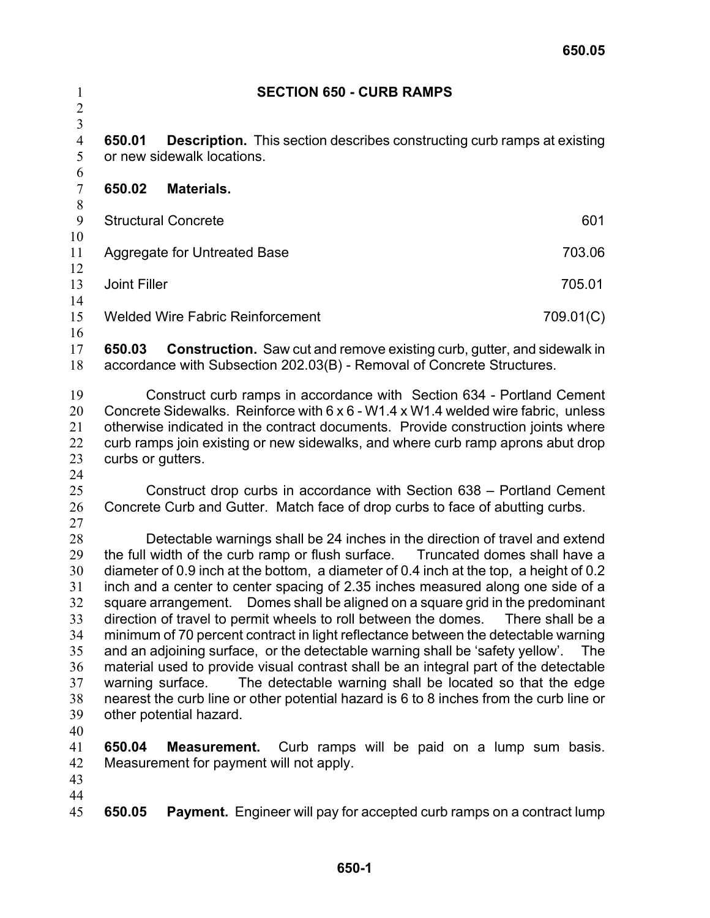| $\mathbf{1}$<br>$\overline{c}$                                             | <b>SECTION 650 - CURB RAMPS</b>                                                                                                                                                                                                                                                                                                                                                                                                                                                                                                                                                                                                                                                                                                                                                                                                                                                                                                                                                                 |                                                                                                                                                          |           |  |
|----------------------------------------------------------------------------|-------------------------------------------------------------------------------------------------------------------------------------------------------------------------------------------------------------------------------------------------------------------------------------------------------------------------------------------------------------------------------------------------------------------------------------------------------------------------------------------------------------------------------------------------------------------------------------------------------------------------------------------------------------------------------------------------------------------------------------------------------------------------------------------------------------------------------------------------------------------------------------------------------------------------------------------------------------------------------------------------|----------------------------------------------------------------------------------------------------------------------------------------------------------|-----------|--|
| $\overline{\mathbf{3}}$<br>$\overline{4}$<br>5                             | <b>Description.</b> This section describes constructing curb ramps at existing<br>650.01<br>or new sidewalk locations.                                                                                                                                                                                                                                                                                                                                                                                                                                                                                                                                                                                                                                                                                                                                                                                                                                                                          |                                                                                                                                                          |           |  |
| 6<br>$\overline{7}$<br>$\,$ $\,$                                           | 650.02                                                                                                                                                                                                                                                                                                                                                                                                                                                                                                                                                                                                                                                                                                                                                                                                                                                                                                                                                                                          | Materials.                                                                                                                                               |           |  |
| 9                                                                          |                                                                                                                                                                                                                                                                                                                                                                                                                                                                                                                                                                                                                                                                                                                                                                                                                                                                                                                                                                                                 | <b>Structural Concrete</b>                                                                                                                               | 601       |  |
| 10<br>11<br>12                                                             | 703.06<br><b>Aggregate for Untreated Base</b>                                                                                                                                                                                                                                                                                                                                                                                                                                                                                                                                                                                                                                                                                                                                                                                                                                                                                                                                                   |                                                                                                                                                          |           |  |
| 13                                                                         |                                                                                                                                                                                                                                                                                                                                                                                                                                                                                                                                                                                                                                                                                                                                                                                                                                                                                                                                                                                                 | <b>Joint Filler</b><br>705.01                                                                                                                            |           |  |
| 14<br>15                                                                   |                                                                                                                                                                                                                                                                                                                                                                                                                                                                                                                                                                                                                                                                                                                                                                                                                                                                                                                                                                                                 | <b>Welded Wire Fabric Reinforcement</b>                                                                                                                  | 709.01(C) |  |
| 16                                                                         |                                                                                                                                                                                                                                                                                                                                                                                                                                                                                                                                                                                                                                                                                                                                                                                                                                                                                                                                                                                                 |                                                                                                                                                          |           |  |
| 17<br>18                                                                   | 650.03                                                                                                                                                                                                                                                                                                                                                                                                                                                                                                                                                                                                                                                                                                                                                                                                                                                                                                                                                                                          | <b>Construction.</b> Saw cut and remove existing curb, gutter, and sidewalk in<br>accordance with Subsection 202.03(B) - Removal of Concrete Structures. |           |  |
| 19<br>20<br>21<br>22<br>23                                                 | Construct curb ramps in accordance with Section 634 - Portland Cement<br>Concrete Sidewalks. Reinforce with 6 x 6 - W1.4 x W1.4 welded wire fabric, unless<br>otherwise indicated in the contract documents. Provide construction joints where<br>curb ramps join existing or new sidewalks, and where curb ramp aprons abut drop<br>curbs or gutters.                                                                                                                                                                                                                                                                                                                                                                                                                                                                                                                                                                                                                                          |                                                                                                                                                          |           |  |
| 24<br>25<br>26<br>27                                                       |                                                                                                                                                                                                                                                                                                                                                                                                                                                                                                                                                                                                                                                                                                                                                                                                                                                                                                                                                                                                 | Construct drop curbs in accordance with Section 638 – Portland Cement<br>Concrete Curb and Gutter. Match face of drop curbs to face of abutting curbs.   |           |  |
| 28<br>29<br>30<br>31<br>32<br>33<br>34<br>35<br>36<br>37<br>38<br>39<br>40 | Detectable warnings shall be 24 inches in the direction of travel and extend<br>the full width of the curb ramp or flush surface. Truncated domes shall have a<br>diameter of 0.9 inch at the bottom, a diameter of 0.4 inch at the top, a height of 0.2<br>inch and a center to center spacing of 2.35 inches measured along one side of a<br>square arrangement. Domes shall be aligned on a square grid in the predominant<br>direction of travel to permit wheels to roll between the domes.<br>There shall be a<br>minimum of 70 percent contract in light reflectance between the detectable warning<br>and an adjoining surface, or the detectable warning shall be 'safety yellow'.<br>The<br>material used to provide visual contrast shall be an integral part of the detectable<br>The detectable warning shall be located so that the edge<br>warning surface.<br>nearest the curb line or other potential hazard is 6 to 8 inches from the curb line or<br>other potential hazard. |                                                                                                                                                          |           |  |
| 41<br>42<br>43<br>44                                                       | 650.04                                                                                                                                                                                                                                                                                                                                                                                                                                                                                                                                                                                                                                                                                                                                                                                                                                                                                                                                                                                          | <b>Measurement.</b> Curb ramps will be paid on a lump sum basis.<br>Measurement for payment will not apply.                                              |           |  |
| 45                                                                         | 650.05                                                                                                                                                                                                                                                                                                                                                                                                                                                                                                                                                                                                                                                                                                                                                                                                                                                                                                                                                                                          | <b>Payment.</b> Engineer will pay for accepted curb ramps on a contract lump                                                                             |           |  |